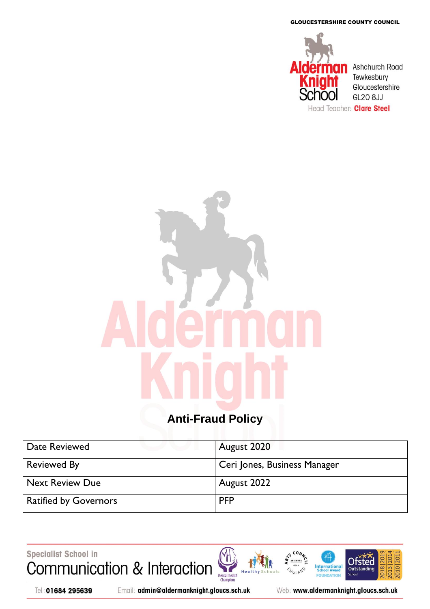GLOUCESTERSHIRE COUNTY COUNCIL



# **Anti-Fraud Policy**

| Date Reviewed                | August 2020                  |
|------------------------------|------------------------------|
| <b>Reviewed By</b>           | Ceri Jones, Business Manager |
| <b>Next Review Due</b>       | August 2022                  |
| <b>Ratified by Governors</b> | <b>PFP</b>                   |

Specialist School in Communication & Interaction

Mental Health<br>Champions H<sub>e</sub>



Email: admin@aldermanknight.gloucs.sch.uk

Web: www.aldermanknight.gloucs.sch.uk

**International**<br>School Award

FOU **IDATION** 

**NGLAND** 

2018 20

**Ofsted** 

Outstand

**Schoo** 

020 20

2013|20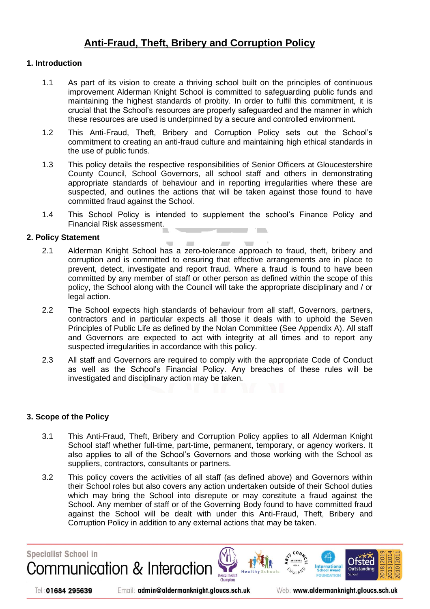## **[Anti-Fraud, Theft, Bribery and Corruption Policy](http://www.brooksideprimary.com/index.php/school-policies1/348-anti-fraud-theft-bribery-and-corruption-policy.html)**

#### **1. Introduction**

- 1.1 As part of its vision to create a thriving school built on the principles of continuous improvement Alderman Knight School is committed to safeguarding public funds and maintaining the highest standards of probity. In order to fulfil this commitment, it is crucial that the School's resources are properly safeguarded and the manner in which these resources are used is underpinned by a secure and controlled environment.
- 1.2 This Anti-Fraud, Theft, Bribery and Corruption Policy sets out the School's commitment to creating an anti-fraud culture and maintaining high ethical standards in the use of public funds.
- 1.3 This policy details the respective responsibilities of Senior Officers at Gloucestershire County Council, School Governors, all school staff and others in demonstrating appropriate standards of behaviour and in reporting irregularities where these are suspected, and outlines the actions that will be taken against those found to have committed fraud against the School.
- 1.4 This School Policy is intended to supplement the school's Finance Policy and Financial Risk assessment.

#### **2. Policy Statement**

- 2.1 Alderman Knight School has a zero-tolerance approach to fraud, theft, bribery and corruption and is committed to ensuring that effective arrangements are in place to prevent, detect, investigate and report fraud. Where a fraud is found to have been committed by any member of staff or other person as defined within the scope of this policy, the School along with the Council will take the appropriate disciplinary and / or legal action.
- 2.2 The School expects high standards of behaviour from all staff, Governors, partners, contractors and in particular expects all those it deals with to uphold the Seven Principles of Public Life as defined by the Nolan Committee (See Appendix A). All staff and Governors are expected to act with integrity at all times and to report any suspected irregularities in accordance with this policy.
- 2.3 All staff and Governors are required to comply with the appropriate Code of Conduct as well as the School's Financial Policy. Any breaches of these rules will be investigated and disciplinary action may be taken.

#### **3. Scope of the Policy**

- 3.1 This Anti-Fraud, Theft, Bribery and Corruption Policy applies to all Alderman Knight School staff whether full-time, part-time, permanent, temporary, or agency workers. It also applies to all of the School's Governors and those working with the School as suppliers, contractors, consultants or partners.
- 3.2 This policy covers the activities of all staff (as defined above) and Governors within their School roles but also covers any action undertaken outside of their School duties which may bring the School into disrepute or may constitute a fraud against the School. Any member of staff or of the Governing Body found to have committed fraud against the School will be dealt with under this Anti-Fraud, Theft, Bribery and Corruption Policy in addition to any external actions that may be taken.

**Specialist School in** Communication & Interaction

International Mental Health



Email: admin@aldermanknight.gloucs.sch.uk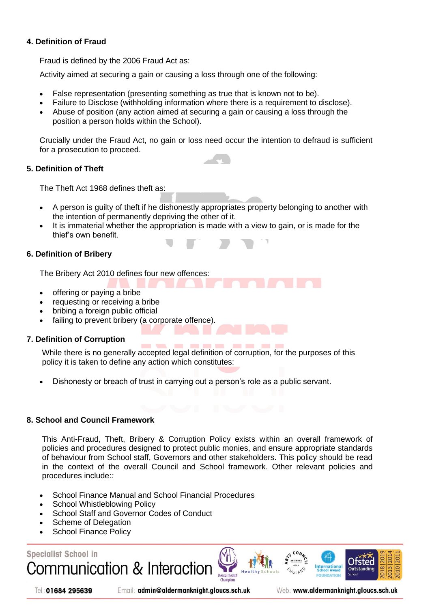#### **4. Definition of Fraud**

Fraud is defined by the 2006 Fraud Act as:

Activity aimed at securing a gain or causing a loss through one of the following:

- False representation (presenting something as true that is known not to be).
- Failure to Disclose (withholding information where there is a requirement to disclose).
- Abuse of position (any action aimed at securing a gain or causing a loss through the position a person holds within the School).

Crucially under the Fraud Act, no gain or loss need occur the intention to defraud is sufficient for a prosecution to proceed.

#### **5. Definition of Theft**

The Theft Act 1968 defines theft as:

- A person is guilty of theft if he dishonestly appropriates property belonging to another with the intention of permanently depriving the other of it.
- It is immaterial whether the appropriation is made with a view to gain, or is made for the thief's own benefit.

#### **6. Definition of Bribery**

The Bribery Act 2010 defines four new offences:

- offering or paying a bribe
- requesting or receiving a bribe
- bribing a foreign public official
- failing to prevent bribery (a corporate offence).

#### **7. Definition of Corruption**

While there is no generally accepted legal definition of corruption, for the purposes of this policy it is taken to define any action which constitutes:

-----

• Dishonesty or breach of trust in carrying out a person's role as a public servant.

#### **8. School and Council Framework**

This Anti-Fraud, Theft, Bribery & Corruption Policy exists within an overall framework of policies and procedures designed to protect public monies, and ensure appropriate standards of behaviour from School staff, Governors and other stakeholders. This policy should be read in the context of the overall Council and School framework. Other relevant policies and procedures include:*:*

- School Finance Manual and School Financial Procedures
- **School Whistleblowing Policy**
- School Staff and Governor Codes of Conduct
- Scheme of Delegation
- School Finance Policy

## **Specialist School in** Communication & Interaction





Email: admin@aldermanknight.gloucs.sch.uk

**Internationa**<br>School Award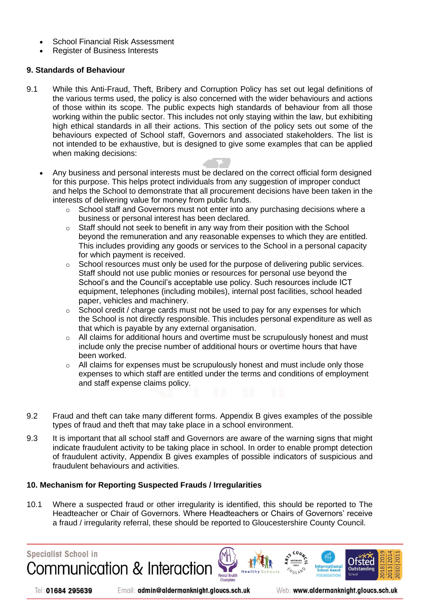- School Financial Risk Assessment
- Register of Business Interests

#### **9. Standards of Behaviour**

- 9.1 While this Anti-Fraud, Theft, Bribery and Corruption Policy has set out legal definitions of the various terms used, the policy is also concerned with the wider behaviours and actions of those within its scope. The public expects high standards of behaviour from all those working within the public sector. This includes not only staying within the law, but exhibiting high ethical standards in all their actions. This section of the policy sets out some of the behaviours expected of School staff, Governors and associated stakeholders. The list is not intended to be exhaustive, but is designed to give some examples that can be applied when making decisions:
	- Any business and personal interests must be declared on the correct official form designed for this purpose. This helps protect individuals from any suggestion of improper conduct and helps the School to demonstrate that all procurement decisions have been taken in the interests of delivering value for money from public funds.
		- o School staff and Governors must not enter into any purchasing decisions where a business or personal interest has been declared.
		- $\circ$  Staff should not seek to benefit in any way from their position with the School beyond the remuneration and any reasonable expenses to which they are entitled. This includes providing any goods or services to the School in a personal capacity for which payment is received.
		- $\circ$  School resources must only be used for the purpose of delivering public services. Staff should not use public monies or resources for personal use beyond the School's and the Council's acceptable use policy. Such resources include ICT equipment, telephones (including mobiles), internal post facilities, school headed paper, vehicles and machinery.
		- $\circ$  School credit / charge cards must not be used to pay for any expenses for which the School is not directly responsible. This includes personal expenditure as well as that which is payable by any external organisation.
		- $\circ$  All claims for additional hours and overtime must be scrupulously honest and must include only the precise number of additional hours or overtime hours that have been worked.
		- $\circ$  All claims for expenses must be scrupulously honest and must include only those expenses to which staff are entitled under the terms and conditions of employment and staff expense claims policy.
- 9.2 Fraud and theft can take many different forms. Appendix B gives examples of the possible types of fraud and theft that may take place in a school environment.
- 9.3 It is important that all school staff and Governors are aware of the warning signs that might indicate fraudulent activity to be taking place in school. In order to enable prompt detection of fraudulent activity, Appendix B gives examples of possible indicators of suspicious and fraudulent behaviours and activities.

#### **10. Mechanism for Reporting Suspected Frauds / Irregularities**

10.1 Where a suspected fraud or other irregularity is identified, this should be reported to The Headteacher or Chair of Governors. Where Headteachers or Chairs of Governors' receive a fraud / irregularity referral, these should be reported to Gloucestershire County Council.

Mental Health

**Specialist School in** 

Tel: 01684 295639





International

Otsted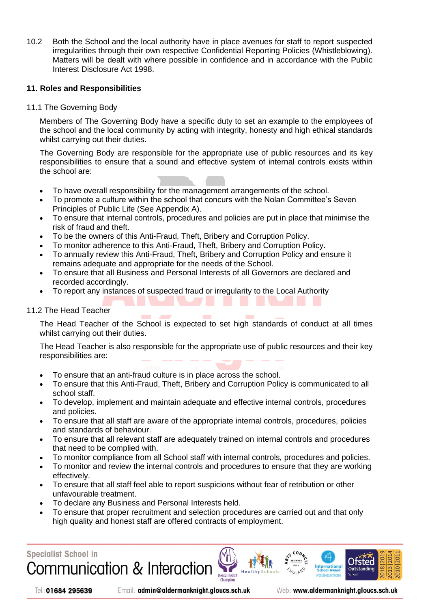10.2 Both the School and the local authority have in place avenues for staff to report suspected irregularities through their own respective Confidential Reporting Policies (Whistleblowing). Matters will be dealt with where possible in confidence and in accordance with the Public Interest Disclosure Act 1998.

#### **11. Roles and Responsibilities**

11.1 The Governing Body

Members of The Governing Body have a specific duty to set an example to the employees of the school and the local community by acting with integrity, honesty and high ethical standards whilst carrying out their duties.

The Governing Body are responsible for the appropriate use of public resources and its key responsibilities to ensure that a sound and effective system of internal controls exists within the school are:

- To have overall responsibility for the management arrangements of the school.
- To promote a culture within the school that concurs with the Nolan Committee's Seven Principles of Public Life (See Appendix A).
- To ensure that internal controls, procedures and policies are put in place that minimise the risk of fraud and theft.
- To be the owners of this Anti-Fraud, Theft, Bribery and Corruption Policy.
- To monitor adherence to this Anti-Fraud, Theft, Bribery and Corruption Policy.
- To annually review this Anti-Fraud, Theft, Bribery and Corruption Policy and ensure it remains adequate and appropriate for the needs of the School.
- To ensure that all Business and Personal Interests of all Governors are declared and recorded accordingly.
- To report any instances of suspected fraud or irregularity to the Local Authority

#### 11.2 The Head Teacher

The Head Teacher of the School is expected to set high standards of conduct at all times whilst carrying out their duties.

The Head Teacher is also responsible for the appropriate use of public resources and their key responsibilities are:

- To ensure that an anti-fraud culture is in place across the school.
- To ensure that this Anti-Fraud, Theft, Bribery and Corruption Policy is communicated to all school staff.
- To develop, implement and maintain adequate and effective internal controls, procedures and policies.
- To ensure that all staff are aware of the appropriate internal controls, procedures, policies and standards of behaviour.
- To ensure that all relevant staff are adequately trained on internal controls and procedures that need to be complied with.
- To monitor compliance from all School staff with internal controls, procedures and policies.
- To monitor and review the internal controls and procedures to ensure that they are working effectively.
- To ensure that all staff feel able to report suspicions without fear of retribution or other unfavourable treatment.
- To declare any Business and Personal Interests held.
- To ensure that proper recruitment and selection procedures are carried out and that only high quality and honest staff are offered contracts of employment.

Mental Health

**Specialist School in** Communication & Interaction



Email: admin@aldermanknight.gloucs.sch.uk

Web: www.aldermanknight.gloucs.sch.uk

International

Otsted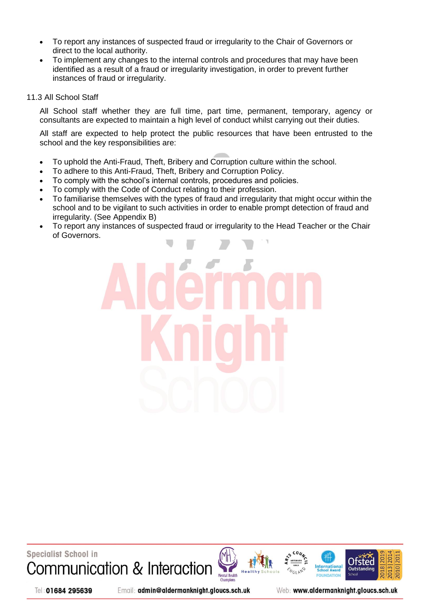- To report any instances of suspected fraud or irregularity to the Chair of Governors or direct to the local authority.
- To implement any changes to the internal controls and procedures that may have been identified as a result of a fraud or irregularity investigation, in order to prevent further instances of fraud or irregularity.

#### 11.3 All School Staff

All School staff whether they are full time, part time, permanent, temporary, agency or consultants are expected to maintain a high level of conduct whilst carrying out their duties.

All staff are expected to help protect the public resources that have been entrusted to the school and the key responsibilities are:

- To uphold the Anti-Fraud, Theft, Bribery and Corruption culture within the school.
- To adhere to this Anti-Fraud, Theft, Bribery and Corruption Policy.
- To comply with the school's internal controls, procedures and policies.
- To comply with the Code of Conduct relating to their profession.
- To familiarise themselves with the types of fraud and irregularity that might occur within the school and to be vigilant to such activities in order to enable prompt detection of fraud and irregularity. (See Appendix B)
- To report any instances of suspected fraud or irregularity to the Head Teacher or the Chair of Governors.



**Specialist School in** Communication & Interaction







Tel: 01684 295639

Email: admin@aldermanknight.gloucs.sch.uk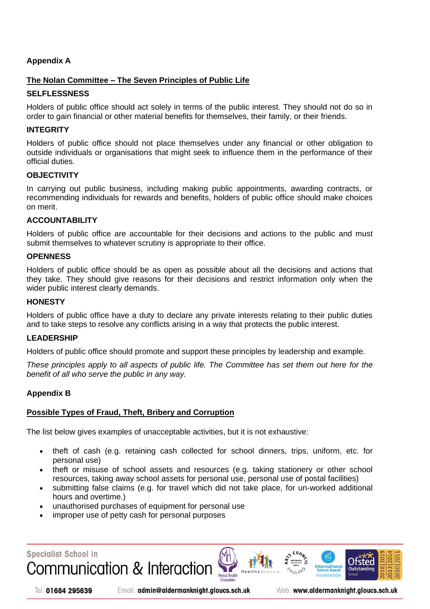#### **Appendix A**

#### **The Nolan Committee – The Seven Principles of Public Life**

#### **SELFLESSNESS**

Holders of public office should act solely in terms of the public interest. They should not do so in order to gain financial or other material benefits for themselves, their family, or their friends.

#### **INTEGRITY**

Holders of public office should not place themselves under any financial or other obligation to outside individuals or organisations that might seek to influence them in the performance of their official duties.

#### **OBJECTIVITY**

In carrying out public business, including making public appointments, awarding contracts, or recommending individuals for rewards and benefits, holders of public office should make choices on merit.

#### **ACCOUNTABILITY**

Holders of public office are accountable for their decisions and actions to the public and must submit themselves to whatever scrutiny is appropriate to their office.

#### **OPENNESS**

Holders of public office should be as open as possible about all the decisions and actions that they take. They should give reasons for their decisions and restrict information only when the wider public interest clearly demands.

#### **HONESTY**

Holders of public office have a duty to declare any private interests relating to their public duties and to take steps to resolve any conflicts arising in a way that protects the public interest.

#### **LEADERSHIP**

Holders of public office should promote and support these principles by leadership and example.

*These principles apply to all aspects of public life. The Committee has set them out here for the benefit of all who serve the public in any way.*

#### **Appendix B**

#### **Possible Types of Fraud, Theft, Bribery and Corruption**

The list below gives examples of unacceptable activities, but it is not exhaustive:

- theft of cash (e.g. retaining cash collected for school dinners, trips, uniform, etc. for personal use)
- theft or misuse of school assets and resources (e.g. taking stationery or other school resources, taking away school assets for personal use, personal use of postal facilities)
- submitting false claims (e.g. for travel which did not take place, for un-worked additional hours and overtime.)

**Mental Health** 

- unauthorised purchases of equipment for personal use
- improper use of petty cash for personal purposes

**Specialist School in** Communication & Interaction

Tel: 01684 295639





**Internationa**<br>School Award

Otste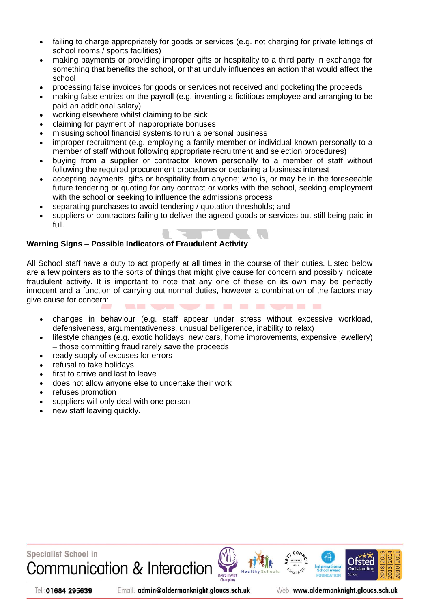- failing to charge appropriately for goods or services (e.g. not charging for private lettings of school rooms / sports facilities)
- making payments or providing improper gifts or hospitality to a third party in exchange for something that benefits the school, or that unduly influences an action that would affect the school
- processing false invoices for goods or services not received and pocketing the proceeds
- making false entries on the payroll (e.g. inventing a fictitious employee and arranging to be paid an additional salary)
- working elsewhere whilst claiming to be sick
- claiming for payment of inappropriate bonuses
- misusing school financial systems to run a personal business
- improper recruitment (e.g. employing a family member or individual known personally to a member of staff without following appropriate recruitment and selection procedures)
- buying from a supplier or contractor known personally to a member of staff without following the required procurement procedures or declaring a business interest
- accepting payments, gifts or hospitality from anyone; who is, or may be in the foreseeable future tendering or quoting for any contract or works with the school, seeking employment with the school or seeking to influence the admissions process
- separating purchases to avoid tendering / quotation thresholds; and
- suppliers or contractors failing to deliver the agreed goods or services but still being paid in full.

#### **Warning Signs – Possible Indicators of Fraudulent Activity**

All School staff have a duty to act properly at all times in the course of their duties. Listed below are a few pointers as to the sorts of things that might give cause for concern and possibly indicate fraudulent activity. It is important to note that any one of these on its own may be perfectly innocent and a function of carrying out normal duties, however a combination of the factors may give cause for concern:

- changes in behaviour (e.g. staff appear under stress without excessive workload, defensiveness, argumentativeness, unusual belligerence, inability to relax)
- lifestyle changes (e.g. exotic holidays, new cars, home improvements, expensive jewellery) – those committing fraud rarely save the proceeds
- ready supply of excuses for errors
- refusal to take holidays
- first to arrive and last to leave
- does not allow anyone else to undertake their work
- refuses promotion
- suppliers will only deal with one person
- new staff leaving quickly.



Tel: 01684 295639

Email: admin@aldermanknight.gloucs.sch.uk